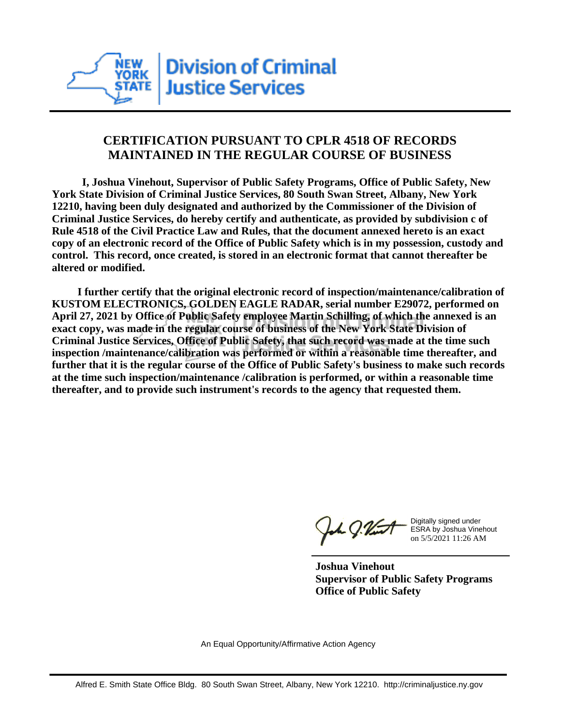

## **CERTIFICATION PURSUANT TO CPLR 4518 OF RECORDS MAINTAINED IN THE REGULAR COURSE OF BUSINESS**

 **I, Joshua Vinehout, Supervisor of Public Safety Programs, Office of Public Safety, New York State Division of Criminal Justice Services, 80 South Swan Street, Albany, New York 12210, having been duly designated and authorized by the Commissioner of the Division of Criminal Justice Services, do hereby certify and authenticate, as provided by subdivision c of Rule 4518 of the Civil Practice Law and Rules, that the document annexed hereto is an exact copy of an electronic record of the Office of Public Safety which is in my possession, custody and control. This record, once created, is stored in an electronic format that cannot thereafter be altered or modified.**

 **I further certify that the original electronic record of inspection/maintenance/calibration of KUSTOM ELECTRONICS, GOLDEN EAGLE RADAR, serial number E29072, performed on April 27, 2021 by Office of Public Safety employee Martin Schilling, of which the annexed is an exact copy, was made in the regular course of business of the New York State Division of Criminal Justice Services, Office of Public Safety, that such record was made at the time such inspection /maintenance/calibration was performed or within a reasonable time thereafter, and further that it is the regular course of the Office of Public Safety's business to make such records at the time such inspection/maintenance /calibration is performed, or within a reasonable time thereafter, and to provide such instrument's records to the agency that requested them.**

the g. Vint

Digitally signed under ESRA by Joshua Vinehout on 5/5/2021 11:26 AM

**Joshua Vinehout Supervisor of Public Safety Programs Office of Public Safety**

An Equal Opportunity/Affirmative Action Agency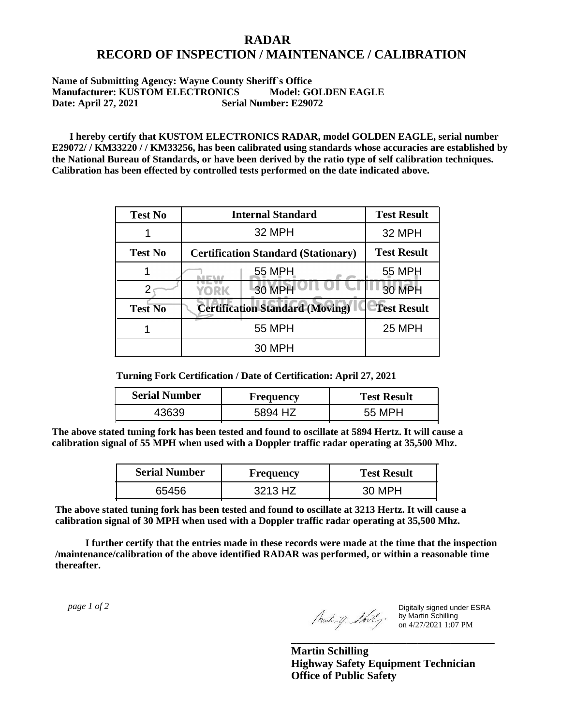## **RADAR RECORD OF INSPECTION / MAINTENANCE / CALIBRATION**

## **Name of Submitting Agency: Wayne County Sheriff`s Office Manufacturer: KUSTOM ELECTRONICS Model: GOLDEN EAGLE Date: April 27, 2021 Serial Number: E29072**

 **I hereby certify that KUSTOM ELECTRONICS RADAR, model GOLDEN EAGLE, serial number E29072/ / KM33220 / / KM33256, has been calibrated using standards whose accuracies are established by the National Bureau of Standards, or have been derived by the ratio type of self calibration techniques. Calibration has been effected by controlled tests performed on the date indicated above.**

| <b>Test No</b> | <b>Internal Standard</b>                   | <b>Test Result</b> |
|----------------|--------------------------------------------|--------------------|
|                | 32 MPH                                     | 32 MPH             |
| <b>Test No</b> | <b>Certification Standard (Stationary)</b> | <b>Test Result</b> |
|                | 55 MPH                                     | 55 MPH             |
|                | 30 MPH<br>YORK                             | 30 MPH             |
| <b>Test No</b> | <b>Certification Standard (Moving)</b>     | <b>Test Result</b> |
|                | <b>55 MPH</b>                              | <b>25 MPH</b>      |
|                | 30 MPH                                     |                    |

**Turning Fork Certification / Date of Certification: April 27, 2021**

| <b>Serial Number</b> | Frequency | <b>Test Result</b> |
|----------------------|-----------|--------------------|
| .3630                | 5894 HZ   | 55 MPH             |

**The above stated tuning fork has been tested and found to oscillate at 5894 Hertz. It will cause a calibration signal of 55 MPH when used with a Doppler traffic radar operating at 35,500 Mhz.**

| <b>Serial Number</b> | Frequency | <b>Test Result</b> |
|----------------------|-----------|--------------------|
| 65456                | 3213 HZ   | 30 MPH             |

**The above stated tuning fork has been tested and found to oscillate at 3213 Hertz. It will cause a calibration signal of 30 MPH when used with a Doppler traffic radar operating at 35,500 Mhz.**

 **I further certify that the entries made in these records were made at the time that the inspection /maintenance/calibration of the above identified RADAR was performed, or within a reasonable time thereafter.**

 *page 1 of 2* 

Digitally signed under ESRA by Martin Schilling on 4/27/2021 1:07 PM

**Martin Schilling Highway Safety Equipment Technician Office of Public Safety**

**\_\_\_\_\_\_\_\_\_\_\_\_\_\_\_\_\_\_\_\_\_\_\_\_\_\_\_\_\_\_\_\_\_\_\_\_\_**